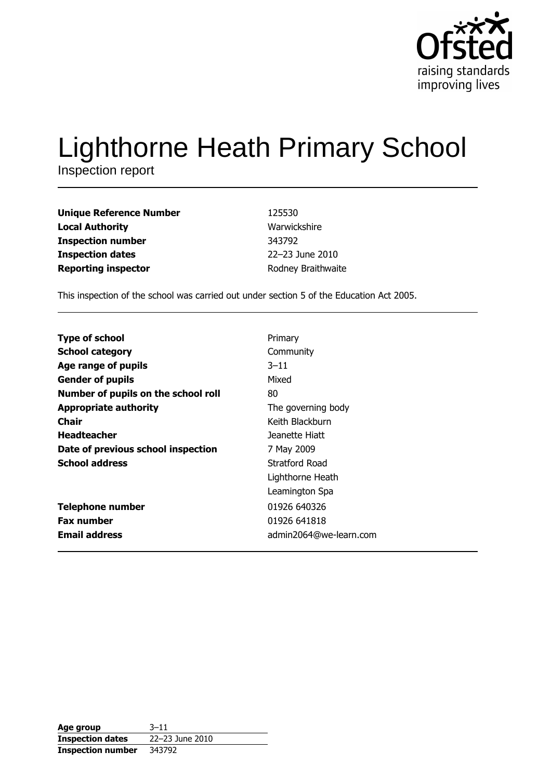

# **Lighthorne Heath Primary School**

Inspection report

| Unique Reference Number | 125530             |
|-------------------------|--------------------|
| Local Authority         | Warwickshire       |
| Inspection number       | 343792             |
| <b>Inspection dates</b> | 22-23 June 2010    |
| Reporting inspector     | Rodney Braithwaite |

This inspection of the school was carried out under section 5 of the Education Act 2005.

| <b>Type of school</b>               | Primary                |
|-------------------------------------|------------------------|
| <b>School category</b>              | Community              |
| Age range of pupils                 | $3 - 11$               |
| <b>Gender of pupils</b>             | Mixed                  |
| Number of pupils on the school roll | 80                     |
| <b>Appropriate authority</b>        | The governing body     |
| <b>Chair</b>                        | Keith Blackburn        |
| <b>Headteacher</b>                  | Jeanette Hiatt         |
| Date of previous school inspection  | 7 May 2009             |
| <b>School address</b>               | Stratford Road         |
|                                     | Lighthorne Heath       |
|                                     | Leamington Spa         |
| <b>Telephone number</b>             | 01926 640326           |
| <b>Fax number</b>                   | 01926 641818           |
| <b>Email address</b>                | admin2064@we-learn.com |

| Age group                | $3 - 11$        |
|--------------------------|-----------------|
| <b>Inspection dates</b>  | 22-23 June 2010 |
| <b>Inspection number</b> | 343792          |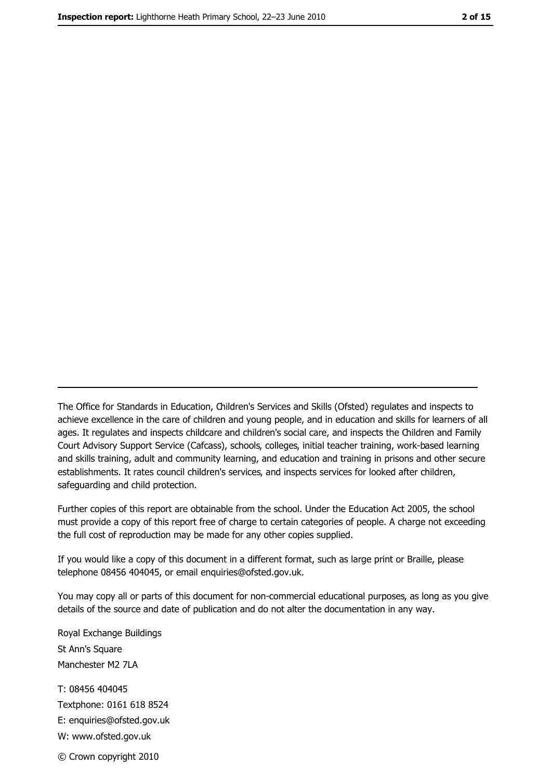The Office for Standards in Education, Children's Services and Skills (Ofsted) regulates and inspects to achieve excellence in the care of children and young people, and in education and skills for learners of all ages. It regulates and inspects childcare and children's social care, and inspects the Children and Family Court Advisory Support Service (Cafcass), schools, colleges, initial teacher training, work-based learning and skills training, adult and community learning, and education and training in prisons and other secure establishments. It rates council children's services, and inspects services for looked after children, safequarding and child protection.

Further copies of this report are obtainable from the school. Under the Education Act 2005, the school must provide a copy of this report free of charge to certain categories of people. A charge not exceeding the full cost of reproduction may be made for any other copies supplied.

If you would like a copy of this document in a different format, such as large print or Braille, please telephone 08456 404045, or email enquiries@ofsted.gov.uk.

You may copy all or parts of this document for non-commercial educational purposes, as long as you give details of the source and date of publication and do not alter the documentation in any way.

Royal Exchange Buildings St Ann's Square Manchester M2 7LA T: 08456 404045 Textphone: 0161 618 8524 E: enquiries@ofsted.gov.uk W: www.ofsted.gov.uk © Crown copyright 2010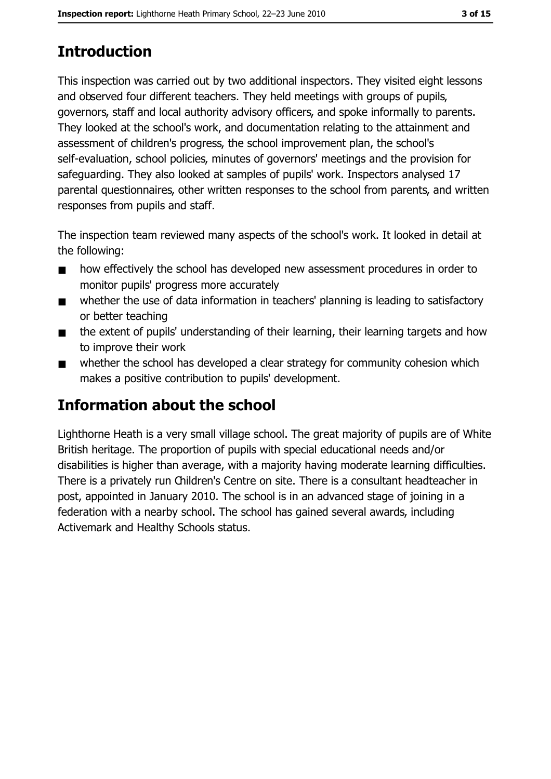# **Introduction**

This inspection was carried out by two additional inspectors. They visited eight lessons and observed four different teachers. They held meetings with groups of pupils, governors, staff and local authority advisory officers, and spoke informally to parents. They looked at the school's work, and documentation relating to the attainment and assessment of children's progress, the school improvement plan, the school's self-evaluation, school policies, minutes of governors' meetings and the provision for safeguarding. They also looked at samples of pupils' work. Inspectors analysed 17 parental questionnaires, other written responses to the school from parents, and written responses from pupils and staff.

The inspection team reviewed many aspects of the school's work. It looked in detail at the following:

- how effectively the school has developed new assessment procedures in order to  $\blacksquare$ monitor pupils' progress more accurately
- whether the use of data information in teachers' planning is leading to satisfactory  $\blacksquare$ or better teaching
- the extent of pupils' understanding of their learning, their learning targets and how  $\blacksquare$ to improve their work
- whether the school has developed a clear strategy for community cohesion which  $\blacksquare$ makes a positive contribution to pupils' development.

# Information about the school

Lighthorne Heath is a very small village school. The great majority of pupils are of White British heritage. The proportion of pupils with special educational needs and/or disabilities is higher than average, with a majority having moderate learning difficulties. There is a privately run Children's Centre on site. There is a consultant headteacher in post, appointed in January 2010. The school is in an advanced stage of joining in a federation with a nearby school. The school has gained several awards, including Activemark and Healthy Schools status.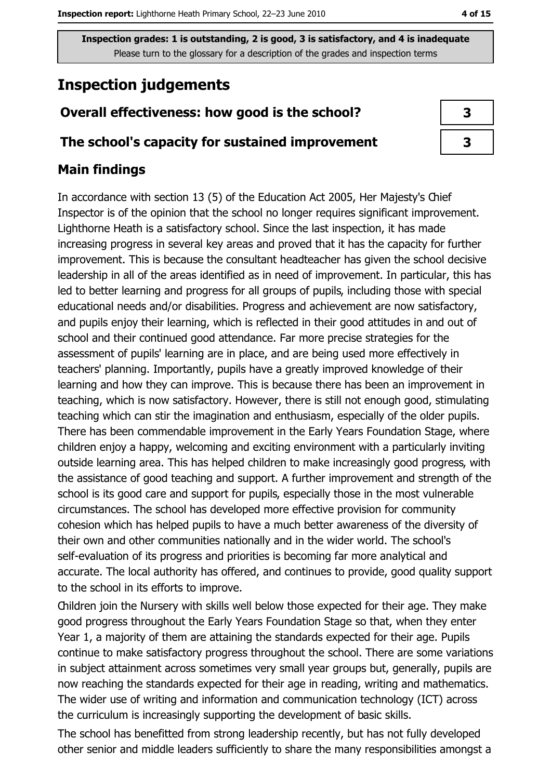# **Inspection judgements**

## Overall effectiveness: how good is the school?

### The school's capacity for sustained improvement

## **Main findings**

In accordance with section 13 (5) of the Education Act 2005, Her Majesty's Chief Inspector is of the opinion that the school no longer requires significant improvement. Lighthorne Heath is a satisfactory school. Since the last inspection, it has made increasing progress in several key areas and proved that it has the capacity for further improvement. This is because the consultant headteacher has given the school decisive leadership in all of the areas identified as in need of improvement. In particular, this has led to better learning and progress for all groups of pupils, including those with special educational needs and/or disabilities. Progress and achievement are now satisfactory, and pupils enjoy their learning, which is reflected in their good attitudes in and out of school and their continued good attendance. Far more precise strategies for the assessment of pupils' learning are in place, and are being used more effectively in teachers' planning. Importantly, pupils have a greatly improved knowledge of their learning and how they can improve. This is because there has been an improvement in teaching, which is now satisfactory. However, there is still not enough good, stimulating teaching which can stir the imagination and enthusiasm, especially of the older pupils. There has been commendable improvement in the Early Years Foundation Stage, where children enjoy a happy, welcoming and exciting environment with a particularly inviting outside learning area. This has helped children to make increasingly good progress, with the assistance of good teaching and support. A further improvement and strength of the school is its good care and support for pupils, especially those in the most vulnerable circumstances. The school has developed more effective provision for community cohesion which has helped pupils to have a much better awareness of the diversity of their own and other communities nationally and in the wider world. The school's self-evaluation of its progress and priorities is becoming far more analytical and accurate. The local authority has offered, and continues to provide, good quality support to the school in its efforts to improve.

Children join the Nursery with skills well below those expected for their age. They make good progress throughout the Early Years Foundation Stage so that, when they enter Year 1, a majority of them are attaining the standards expected for their age. Pupils continue to make satisfactory progress throughout the school. There are some variations in subject attainment across sometimes very small year groups but, generally, pupils are now reaching the standards expected for their age in reading, writing and mathematics. The wider use of writing and information and communication technology (ICT) across the curriculum is increasingly supporting the development of basic skills.

The school has benefitted from strong leadership recently, but has not fully developed other senior and middle leaders sufficiently to share the many responsibilities amongst a

| 3 |  |
|---|--|
| 3 |  |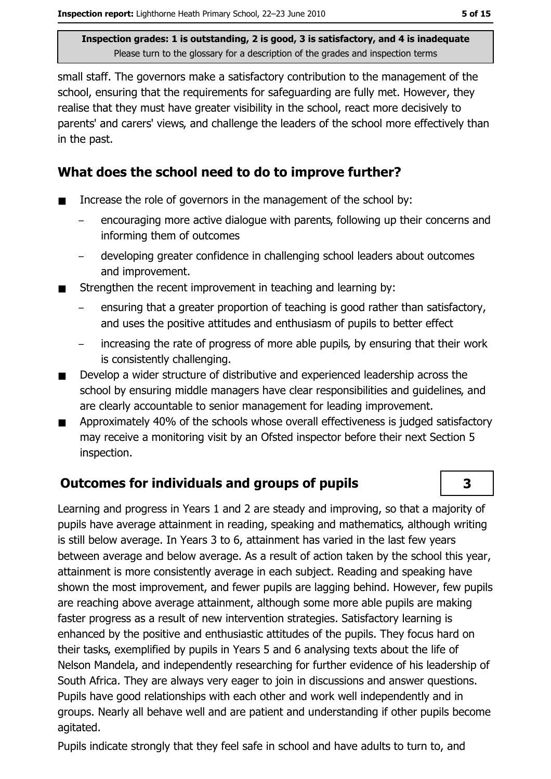small staff. The governors make a satisfactory contribution to the management of the school, ensuring that the requirements for safeguarding are fully met. However, they realise that they must have greater visibility in the school, react more decisively to parents' and carers' views, and challenge the leaders of the school more effectively than in the past.

# What does the school need to do to improve further?

- Increase the role of governors in the management of the school by:  $\blacksquare$ 
	- encouraging more active dialogue with parents, following up their concerns and informing them of outcomes
	- developing greater confidence in challenging school leaders about outcomes and improvement.
- Strengthen the recent improvement in teaching and learning by:  $\blacksquare$ 
	- ensuring that a greater proportion of teaching is good rather than satisfactory, and uses the positive attitudes and enthusiasm of pupils to better effect
	- increasing the rate of progress of more able pupils, by ensuring that their work is consistently challenging.
- Develop a wider structure of distributive and experienced leadership across the  $\blacksquare$ school by ensuring middle managers have clear responsibilities and quidelines, and are clearly accountable to senior management for leading improvement.
- Approximately 40% of the schools whose overall effectiveness is judged satisfactory  $\blacksquare$ may receive a monitoring visit by an Ofsted inspector before their next Section 5 inspection.

# **Outcomes for individuals and groups of pupils**

Learning and progress in Years 1 and 2 are steady and improving, so that a majority of pupils have average attainment in reading, speaking and mathematics, although writing is still below average. In Years 3 to 6, attainment has varied in the last few years between average and below average. As a result of action taken by the school this year, attainment is more consistently average in each subject. Reading and speaking have shown the most improvement, and fewer pupils are lagging behind. However, few pupils are reaching above average attainment, although some more able pupils are making faster progress as a result of new intervention strategies. Satisfactory learning is enhanced by the positive and enthusiastic attitudes of the pupils. They focus hard on their tasks, exemplified by pupils in Years 5 and 6 analysing texts about the life of Nelson Mandela, and independently researching for further evidence of his leadership of South Africa. They are always very eager to join in discussions and answer questions. Pupils have good relationships with each other and work well independently and in groups. Nearly all behave well and are patient and understanding if other pupils become agitated.

Pupils indicate strongly that they feel safe in school and have adults to turn to, and

3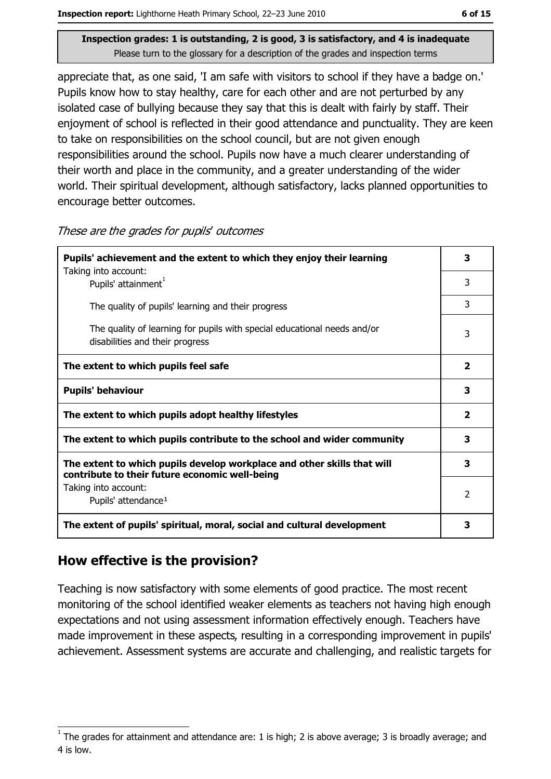appreciate that, as one said, 'I am safe with visitors to school if they have a badge on.' Pupils know how to stay healthy, care for each other and are not perturbed by any isolated case of bullying because they say that this is dealt with fairly by staff. Their enjoyment of school is reflected in their good attendance and punctuality. They are keen to take on responsibilities on the school council, but are not given enough responsibilities around the school. Pupils now have a much clearer understanding of their worth and place in the community, and a greater understanding of the wider world. Their spiritual development, although satisfactory, lacks planned opportunities to encourage better outcomes.

| These are the grades for pupils' outcomes |  |  |  |
|-------------------------------------------|--|--|--|
|-------------------------------------------|--|--|--|

| Pupils' achievement and the extent to which they enjoy their learning                                                     |                         |
|---------------------------------------------------------------------------------------------------------------------------|-------------------------|
| Taking into account:<br>Pupils' attainment <sup>1</sup>                                                                   | 3                       |
| The quality of pupils' learning and their progress                                                                        | 3                       |
| The quality of learning for pupils with special educational needs and/or<br>disabilities and their progress               | 3                       |
| The extent to which pupils feel safe                                                                                      | $\overline{\mathbf{2}}$ |
| <b>Pupils' behaviour</b>                                                                                                  | 3                       |
| The extent to which pupils adopt healthy lifestyles                                                                       |                         |
| The extent to which pupils contribute to the school and wider community                                                   |                         |
| The extent to which pupils develop workplace and other skills that will<br>contribute to their future economic well-being | 3                       |
| Taking into account:<br>Pupils' attendance <sup>1</sup>                                                                   | 2                       |
| The extent of pupils' spiritual, moral, social and cultural development                                                   |                         |

# How effective is the provision?

Teaching is now satisfactory with some elements of good practice. The most recent monitoring of the school identified weaker elements as teachers not having high enough expectations and not using assessment information effectively enough. Teachers have made improvement in these aspects, resulting in a corresponding improvement in pupils' achievement. Assessment systems are accurate and challenging, and realistic targets for

The grades for attainment and attendance are: 1 is high; 2 is above average; 3 is broadly average; and 4 is low.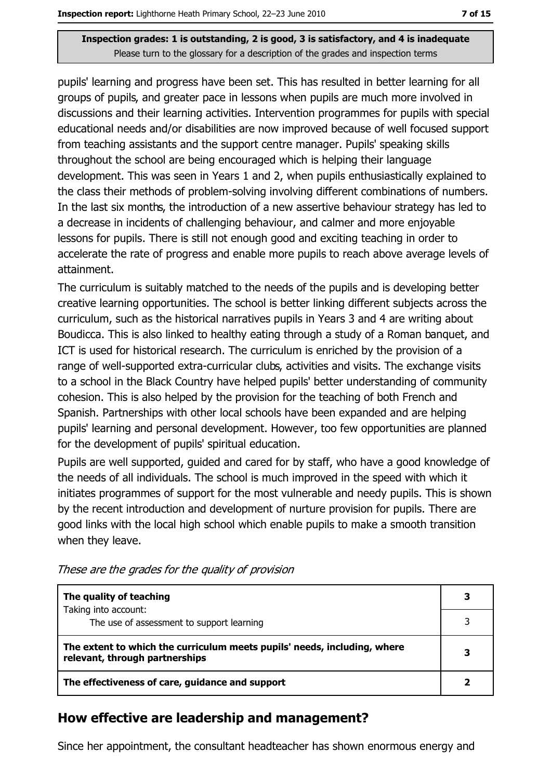pupils' learning and progress have been set. This has resulted in better learning for all groups of pupils, and greater pace in lessons when pupils are much more involved in discussions and their learning activities. Intervention programmes for pupils with special educational needs and/or disabilities are now improved because of well focused support from teaching assistants and the support centre manager. Pupils' speaking skills throughout the school are being encouraged which is helping their language development. This was seen in Years 1 and 2, when pupils enthusiastically explained to the class their methods of problem-solving involving different combinations of numbers. In the last six months, the introduction of a new assertive behaviour strategy has led to a decrease in incidents of challenging behaviour, and calmer and more enjoyable lessons for pupils. There is still not enough good and exciting teaching in order to accelerate the rate of progress and enable more pupils to reach above average levels of attainment.

The curriculum is suitably matched to the needs of the pupils and is developing better creative learning opportunities. The school is better linking different subjects across the curriculum, such as the historical narratives pupils in Years 3 and 4 are writing about Boudicca. This is also linked to healthy eating through a study of a Roman banquet, and ICT is used for historical research. The curriculum is enriched by the provision of a range of well-supported extra-curricular clubs, activities and visits. The exchange visits to a school in the Black Country have helped pupils' better understanding of community cohesion. This is also helped by the provision for the teaching of both French and Spanish. Partnerships with other local schools have been expanded and are helping pupils' learning and personal development. However, too few opportunities are planned for the development of pupils' spiritual education.

Pupils are well supported, guided and cared for by staff, who have a good knowledge of the needs of all individuals. The school is much improved in the speed with which it initiates programmes of support for the most vulnerable and needy pupils. This is shown by the recent introduction and development of nurture provision for pupils. There are good links with the local high school which enable pupils to make a smooth transition when they leave.

| The quality of teaching                                                                                    |  |
|------------------------------------------------------------------------------------------------------------|--|
| Taking into account:<br>The use of assessment to support learning                                          |  |
| The extent to which the curriculum meets pupils' needs, including, where<br>relevant, through partnerships |  |
| The effectiveness of care, guidance and support                                                            |  |

These are the grades for the quality of provision

## How effective are leadership and management?

Since her appointment, the consultant headteacher has shown enormous energy and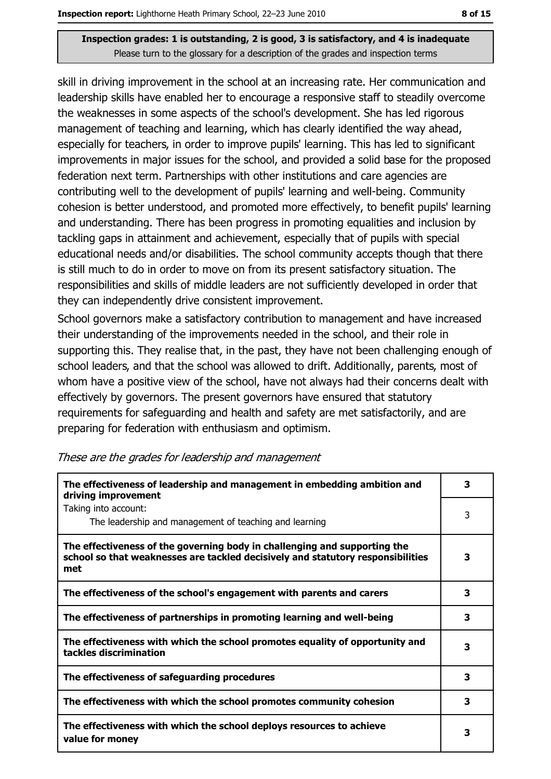skill in driving improvement in the school at an increasing rate. Her communication and leadership skills have enabled her to encourage a responsive staff to steadily overcome the weaknesses in some aspects of the school's development. She has led rigorous management of teaching and learning, which has clearly identified the way ahead, especially for teachers, in order to improve pupils' learning. This has led to significant improvements in major issues for the school, and provided a solid base for the proposed federation next term. Partnerships with other institutions and care agencies are contributing well to the development of pupils' learning and well-being. Community cohesion is better understood, and promoted more effectively, to benefit pupils' learning and understanding. There has been progress in promoting equalities and inclusion by tackling gaps in attainment and achievement, especially that of pupils with special educational needs and/or disabilities. The school community accepts though that there is still much to do in order to move on from its present satisfactory situation. The responsibilities and skills of middle leaders are not sufficiently developed in order that they can independently drive consistent improvement.

School governors make a satisfactory contribution to management and have increased their understanding of the improvements needed in the school, and their role in supporting this. They realise that, in the past, they have not been challenging enough of school leaders, and that the school was allowed to drift. Additionally, parents, most of whom have a positive view of the school, have not always had their concerns dealt with effectively by governors. The present governors have ensured that statutory requirements for safequarding and health and safety are met satisfactorily, and are preparing for federation with enthusiasm and optimism.

| The effectiveness of leadership and management in embedding ambition and<br>driving improvement                                                                     |   |  |
|---------------------------------------------------------------------------------------------------------------------------------------------------------------------|---|--|
| Taking into account:<br>The leadership and management of teaching and learning                                                                                      | 3 |  |
| The effectiveness of the governing body in challenging and supporting the<br>school so that weaknesses are tackled decisively and statutory responsibilities<br>met | 3 |  |
| The effectiveness of the school's engagement with parents and carers                                                                                                | 3 |  |
| The effectiveness of partnerships in promoting learning and well-being                                                                                              | 3 |  |
| The effectiveness with which the school promotes equality of opportunity and<br>tackles discrimination                                                              | 3 |  |
| The effectiveness of safeguarding procedures                                                                                                                        | 3 |  |
| The effectiveness with which the school promotes community cohesion                                                                                                 | 3 |  |
| The effectiveness with which the school deploys resources to achieve<br>value for money                                                                             | з |  |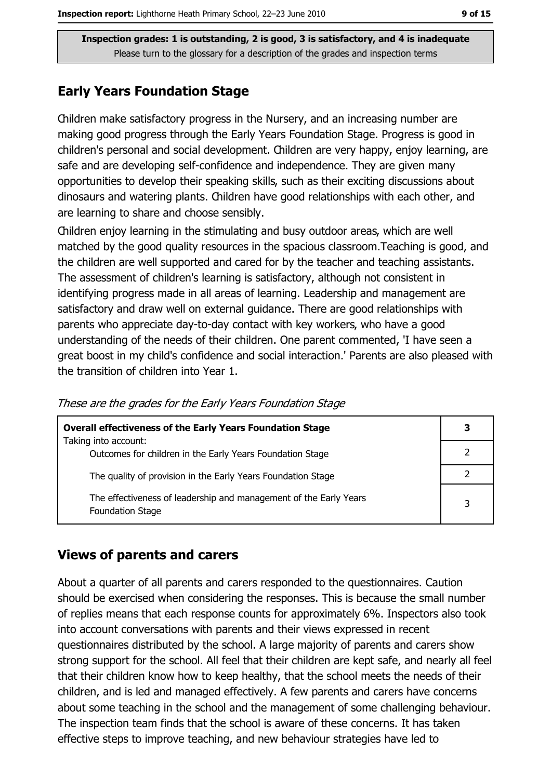## **Early Years Foundation Stage**

Children make satisfactory progress in the Nursery, and an increasing number are making good progress through the Early Years Foundation Stage. Progress is good in children's personal and social development. Children are very happy, enjoy learning, are safe and are developing self-confidence and independence. They are given many opportunities to develop their speaking skills, such as their exciting discussions about dinosaurs and watering plants. Children have good relationships with each other, and are learning to share and choose sensibly.

Children enjoy learning in the stimulating and busy outdoor areas, which are well matched by the good quality resources in the spacious classroom. Teaching is good, and the children are well supported and cared for by the teacher and teaching assistants. The assessment of children's learning is satisfactory, although not consistent in identifying progress made in all areas of learning. Leadership and management are satisfactory and draw well on external guidance. There are good relationships with parents who appreciate day-to-day contact with key workers, who have a good understanding of the needs of their children. One parent commented, 'I have seen a great boost in my child's confidence and social interaction.' Parents are also pleased with the transition of children into Year 1.

| <b>Overall effectiveness of the Early Years Foundation Stage</b>                             | З |
|----------------------------------------------------------------------------------------------|---|
| Taking into account:<br>Outcomes for children in the Early Years Foundation Stage            |   |
| The quality of provision in the Early Years Foundation Stage                                 |   |
| The effectiveness of leadership and management of the Early Years<br><b>Foundation Stage</b> | 3 |

These are the grades for the Early Years Foundation Stage

## **Views of parents and carers**

About a quarter of all parents and carers responded to the questionnaires. Caution should be exercised when considering the responses. This is because the small number of replies means that each response counts for approximately 6%. Inspectors also took into account conversations with parents and their views expressed in recent questionnaires distributed by the school. A large majority of parents and carers show strong support for the school. All feel that their children are kept safe, and nearly all feel that their children know how to keep healthy, that the school meets the needs of their children, and is led and managed effectively. A few parents and carers have concerns about some teaching in the school and the management of some challenging behaviour. The inspection team finds that the school is aware of these concerns. It has taken effective steps to improve teaching, and new behaviour strategies have led to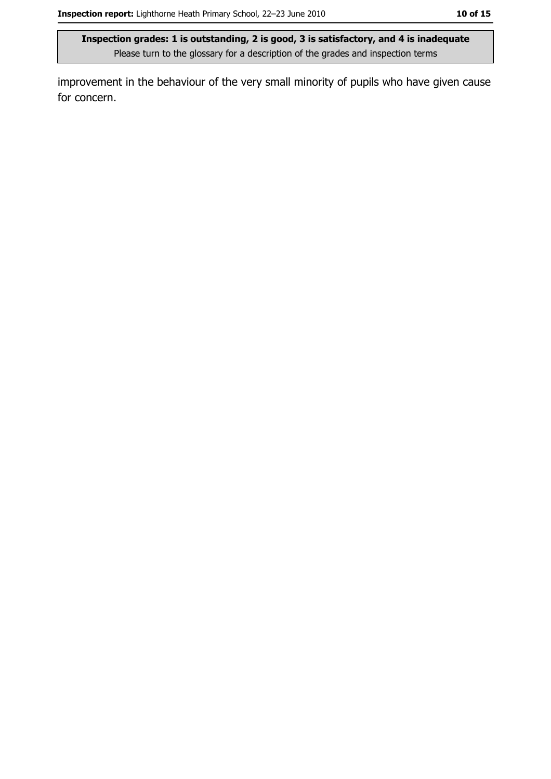improvement in the behaviour of the very small minority of pupils who have given cause for concern.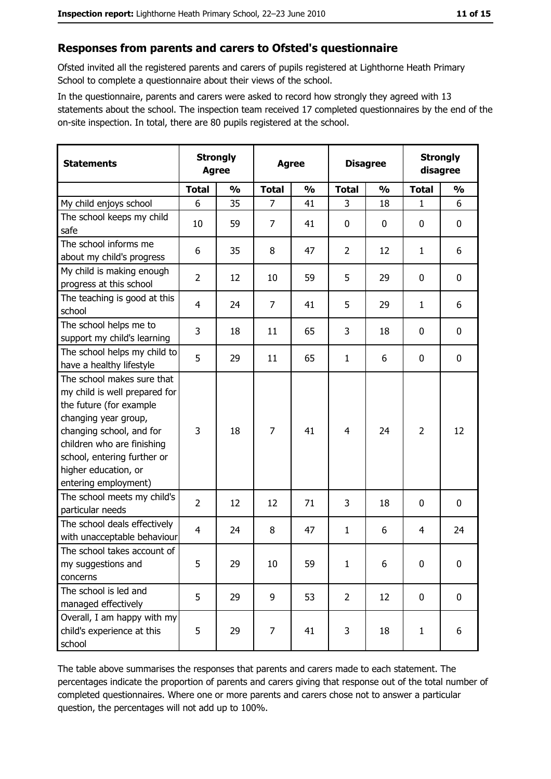#### Responses from parents and carers to Ofsted's questionnaire

Ofsted invited all the registered parents and carers of pupils registered at Lighthorne Heath Primary School to complete a questionnaire about their views of the school.

In the questionnaire, parents and carers were asked to record how strongly they agreed with 13 statements about the school. The inspection team received 17 completed questionnaires by the end of the on-site inspection. In total, there are 80 pupils registered at the school.

| <b>Statements</b>                                                                                                                                                                                                                                       | <b>Strongly</b><br><b>Agree</b> |               | <b>Agree</b>   |               |                |               | <b>Disagree</b> |               | <b>Strongly</b><br>disagree |  |
|---------------------------------------------------------------------------------------------------------------------------------------------------------------------------------------------------------------------------------------------------------|---------------------------------|---------------|----------------|---------------|----------------|---------------|-----------------|---------------|-----------------------------|--|
|                                                                                                                                                                                                                                                         | <b>Total</b>                    | $\frac{0}{0}$ | <b>Total</b>   | $\frac{0}{0}$ | <b>Total</b>   | $\frac{0}{0}$ | <b>Total</b>    | $\frac{0}{0}$ |                             |  |
| My child enjoys school                                                                                                                                                                                                                                  | 6                               | 35            | $\overline{7}$ | 41            | 3              | 18            | $\mathbf{1}$    | 6             |                             |  |
| The school keeps my child<br>safe                                                                                                                                                                                                                       | 10                              | 59            | 7              | 41            | $\mathbf 0$    | 0             | 0               | 0             |                             |  |
| The school informs me<br>about my child's progress                                                                                                                                                                                                      | 6                               | 35            | 8              | 47            | $\overline{2}$ | 12            | 1               | 6             |                             |  |
| My child is making enough<br>progress at this school                                                                                                                                                                                                    | $\overline{2}$                  | 12            | 10             | 59            | 5              | 29            | 0               | 0             |                             |  |
| The teaching is good at this<br>school                                                                                                                                                                                                                  | 4                               | 24            | $\overline{7}$ | 41            | 5              | 29            | 1               | 6             |                             |  |
| The school helps me to<br>support my child's learning                                                                                                                                                                                                   | 3                               | 18            | 11             | 65            | 3              | 18            | 0               | 0             |                             |  |
| The school helps my child to<br>have a healthy lifestyle                                                                                                                                                                                                | 5                               | 29            | 11             | 65            | $\mathbf{1}$   | 6             | 0               | 0             |                             |  |
| The school makes sure that<br>my child is well prepared for<br>the future (for example<br>changing year group,<br>changing school, and for<br>children who are finishing<br>school, entering further or<br>higher education, or<br>entering employment) | 3                               | 18            | 7              | 41            | $\overline{4}$ | 24            | $\overline{2}$  | 12            |                             |  |
| The school meets my child's<br>particular needs                                                                                                                                                                                                         | $\overline{2}$                  | 12            | 12             | 71            | 3              | 18            | 0               | $\mathbf 0$   |                             |  |
| The school deals effectively<br>with unacceptable behaviour                                                                                                                                                                                             | $\overline{4}$                  | 24            | 8              | 47            | $\mathbf{1}$   | 6             | 4               | 24            |                             |  |
| The school takes account of<br>my suggestions and<br>concerns                                                                                                                                                                                           | 5                               | 29            | 10             | 59            | $\mathbf{1}$   | 6             | 0               | 0             |                             |  |
| The school is led and<br>managed effectively                                                                                                                                                                                                            | 5                               | 29            | 9              | 53            | $\overline{2}$ | 12            | $\mathbf 0$     | 0             |                             |  |
| Overall, I am happy with my<br>child's experience at this<br>school                                                                                                                                                                                     | 5                               | 29            | 7              | 41            | 3              | 18            | 1               | 6             |                             |  |

The table above summarises the responses that parents and carers made to each statement. The percentages indicate the proportion of parents and carers giving that response out of the total number of completed questionnaires. Where one or more parents and carers chose not to answer a particular question, the percentages will not add up to 100%.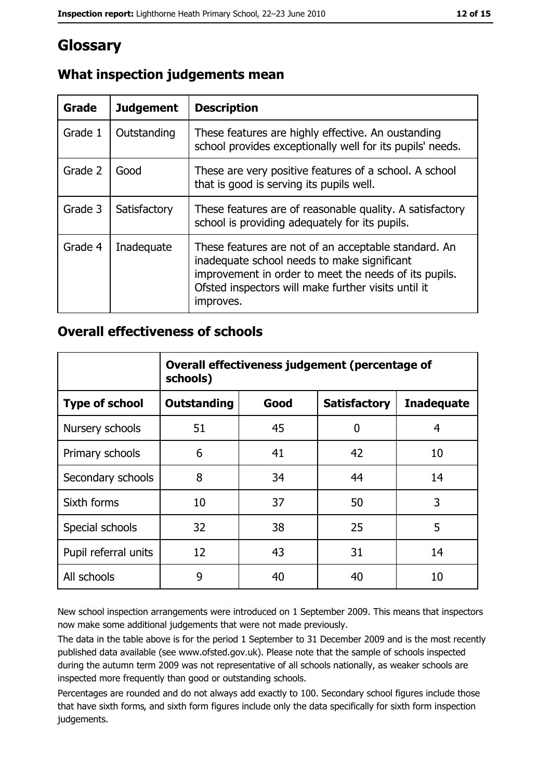# Glossary

| Grade   | <b>Judgement</b> | <b>Description</b>                                                                                                                                                                                                               |
|---------|------------------|----------------------------------------------------------------------------------------------------------------------------------------------------------------------------------------------------------------------------------|
| Grade 1 | Outstanding      | These features are highly effective. An oustanding<br>school provides exceptionally well for its pupils' needs.                                                                                                                  |
| Grade 2 | Good             | These are very positive features of a school. A school<br>that is good is serving its pupils well.                                                                                                                               |
| Grade 3 | Satisfactory     | These features are of reasonable quality. A satisfactory<br>school is providing adequately for its pupils.                                                                                                                       |
| Grade 4 | Inadequate       | These features are not of an acceptable standard. An<br>inadequate school needs to make significant<br>improvement in order to meet the needs of its pupils.<br>Ofsted inspectors will make further visits until it<br>improves. |

# What inspection judgements mean

## **Overall effectiveness of schools**

|                       | Overall effectiveness judgement (percentage of<br>schools) |      |                     |                   |
|-----------------------|------------------------------------------------------------|------|---------------------|-------------------|
| <b>Type of school</b> | <b>Outstanding</b>                                         | Good | <b>Satisfactory</b> | <b>Inadequate</b> |
| Nursery schools       | 51                                                         | 45   | 0                   | 4                 |
| Primary schools       | 6                                                          | 41   | 42                  | 10                |
| Secondary schools     | 8                                                          | 34   | 44                  | 14                |
| Sixth forms           | 10                                                         | 37   | 50                  | 3                 |
| Special schools       | 32                                                         | 38   | 25                  | 5                 |
| Pupil referral units  | 12                                                         | 43   | 31                  | 14                |
| All schools           | 9                                                          | 40   | 40                  | 10                |

New school inspection arrangements were introduced on 1 September 2009. This means that inspectors now make some additional judgements that were not made previously.

The data in the table above is for the period 1 September to 31 December 2009 and is the most recently published data available (see www.ofsted.gov.uk). Please note that the sample of schools inspected during the autumn term 2009 was not representative of all schools nationally, as weaker schools are inspected more frequently than good or outstanding schools.

Percentages are rounded and do not always add exactly to 100. Secondary school figures include those that have sixth forms, and sixth form figures include only the data specifically for sixth form inspection judgements.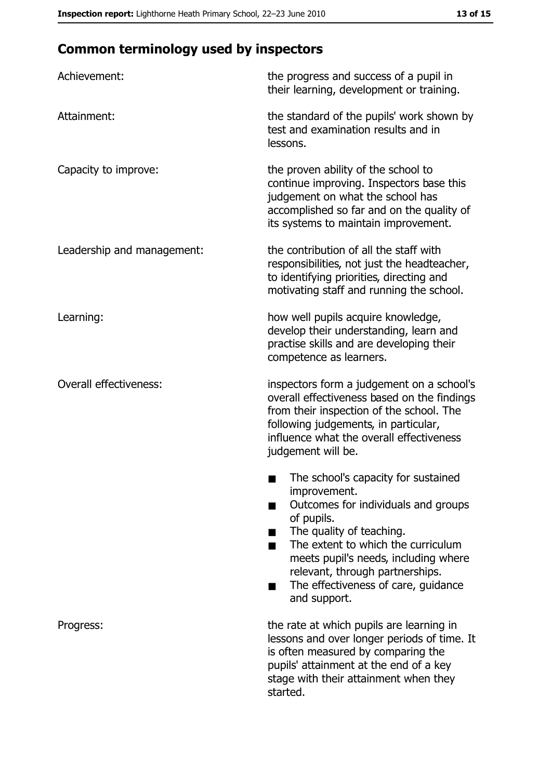# **Common terminology used by inspectors**

| Achievement:                  | the progress and success of a pupil in<br>their learning, development or training.                                                                                                                                                                                                                           |
|-------------------------------|--------------------------------------------------------------------------------------------------------------------------------------------------------------------------------------------------------------------------------------------------------------------------------------------------------------|
| Attainment:                   | the standard of the pupils' work shown by<br>test and examination results and in<br>lessons.                                                                                                                                                                                                                 |
| Capacity to improve:          | the proven ability of the school to<br>continue improving. Inspectors base this<br>judgement on what the school has<br>accomplished so far and on the quality of<br>its systems to maintain improvement.                                                                                                     |
| Leadership and management:    | the contribution of all the staff with<br>responsibilities, not just the headteacher,<br>to identifying priorities, directing and<br>motivating staff and running the school.                                                                                                                                |
| Learning:                     | how well pupils acquire knowledge,<br>develop their understanding, learn and<br>practise skills and are developing their<br>competence as learners.                                                                                                                                                          |
| <b>Overall effectiveness:</b> | inspectors form a judgement on a school's<br>overall effectiveness based on the findings<br>from their inspection of the school. The<br>following judgements, in particular,<br>influence what the overall effectiveness<br>judgement will be.                                                               |
|                               | The school's capacity for sustained<br>improvement.<br>Outcomes for individuals and groups<br>of pupils.<br>The quality of teaching.<br>The extent to which the curriculum<br>meets pupil's needs, including where<br>relevant, through partnerships.<br>The effectiveness of care, guidance<br>and support. |
| Progress:                     | the rate at which pupils are learning in<br>lessons and over longer periods of time. It<br>is often measured by comparing the<br>pupils' attainment at the end of a key<br>stage with their attainment when they<br>started.                                                                                 |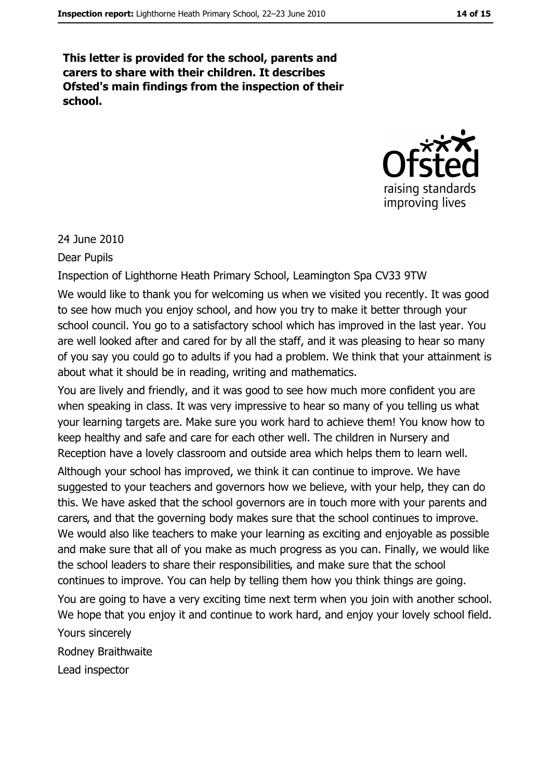This letter is provided for the school, parents and carers to share with their children. It describes Ofsted's main findings from the inspection of their school.



24 June 2010

**Dear Pupils** 

Inspection of Lighthorne Heath Primary School, Leamington Spa CV33 9TW

We would like to thank you for welcoming us when we visited you recently. It was good to see how much you enjoy school, and how you try to make it better through your school council. You go to a satisfactory school which has improved in the last year. You are well looked after and cared for by all the staff, and it was pleasing to hear so many of you say you could go to adults if you had a problem. We think that your attainment is about what it should be in reading, writing and mathematics.

You are lively and friendly, and it was good to see how much more confident you are when speaking in class. It was very impressive to hear so many of you telling us what your learning targets are. Make sure you work hard to achieve them! You know how to keep healthy and safe and care for each other well. The children in Nursery and Reception have a lovely classroom and outside area which helps them to learn well. Although your school has improved, we think it can continue to improve. We have suggested to your teachers and governors how we believe, with your help, they can do this. We have asked that the school governors are in touch more with your parents and carers, and that the governing body makes sure that the school continues to improve. We would also like teachers to make your learning as exciting and enjoyable as possible and make sure that all of you make as much progress as you can. Finally, we would like the school leaders to share their responsibilities, and make sure that the school continues to improve. You can help by telling them how you think things are going. You are going to have a very exciting time next term when you join with another school. We hope that you enjoy it and continue to work hard, and enjoy your lovely school field. Yours sincerely Rodney Braithwaite

Lead inspector